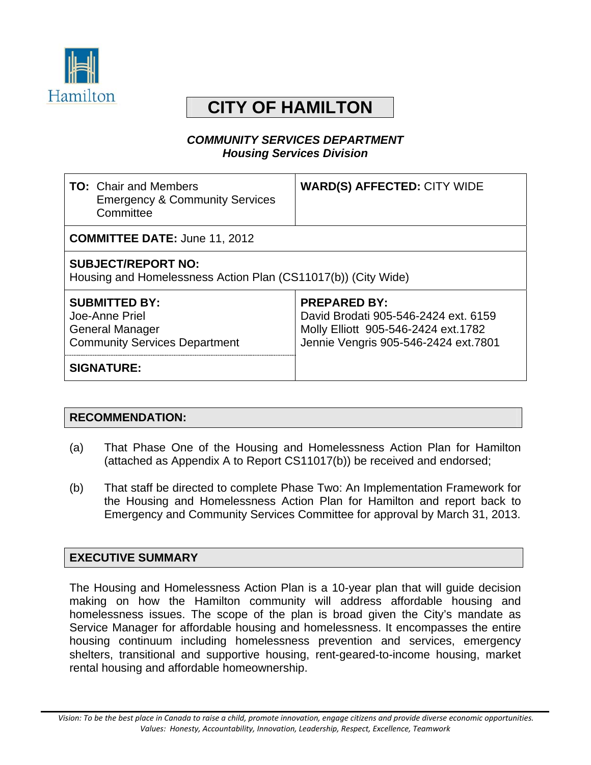

# **CITY OF HAMILTON**

#### *COMMUNITY SERVICES DEPARTMENT Housing Services Division*

| <b>TO:</b> Chair and Members<br><b>Emergency &amp; Community Services</b><br>Committee                   | <b>WARD(S) AFFECTED: CITY WIDE</b>                                                                                                         |  |
|----------------------------------------------------------------------------------------------------------|--------------------------------------------------------------------------------------------------------------------------------------------|--|
| <b>COMMITTEE DATE: June 11, 2012</b>                                                                     |                                                                                                                                            |  |
| <b>SUBJECT/REPORT NO:</b><br>Housing and Homelessness Action Plan (CS11017(b)) (City Wide)               |                                                                                                                                            |  |
| <b>SUBMITTED BY:</b><br>Joe-Anne Priel<br><b>General Manager</b><br><b>Community Services Department</b> | <b>PREPARED BY:</b><br>David Brodati 905-546-2424 ext. 6159<br>Molly Elliott 905-546-2424 ext.1782<br>Jennie Vengris 905-546-2424 ext.7801 |  |
| <b>SIGNATURE:</b>                                                                                        |                                                                                                                                            |  |

#### **RECOMMENDATION:**

- (a) That Phase One of the Housing and Homelessness Action Plan for Hamilton (attached as Appendix A to Report CS11017(b)) be received and endorsed;
- (b) That staff be directed to complete Phase Two: An Implementation Framework for the Housing and Homelessness Action Plan for Hamilton and report back to Emergency and Community Services Committee for approval by March 31, 2013.

#### **EXECUTIVE SUMMARY**

The Housing and Homelessness Action Plan is a 10-year plan that will guide decision making on how the Hamilton community will address affordable housing and homelessness issues. The scope of the plan is broad given the City's mandate as Service Manager for affordable housing and homelessness. It encompasses the entire housing continuum including homelessness prevention and services, emergency shelters, transitional and supportive housing, rent-geared-to-income housing, market rental housing and affordable homeownership.

Vision: To be the best place in Canada to raise a child, promote innovation, engage citizens and provide diverse economic opportunities. *Values: Honesty, Accountability, Innovation, Leadership, Respect, Excellence, Teamwork*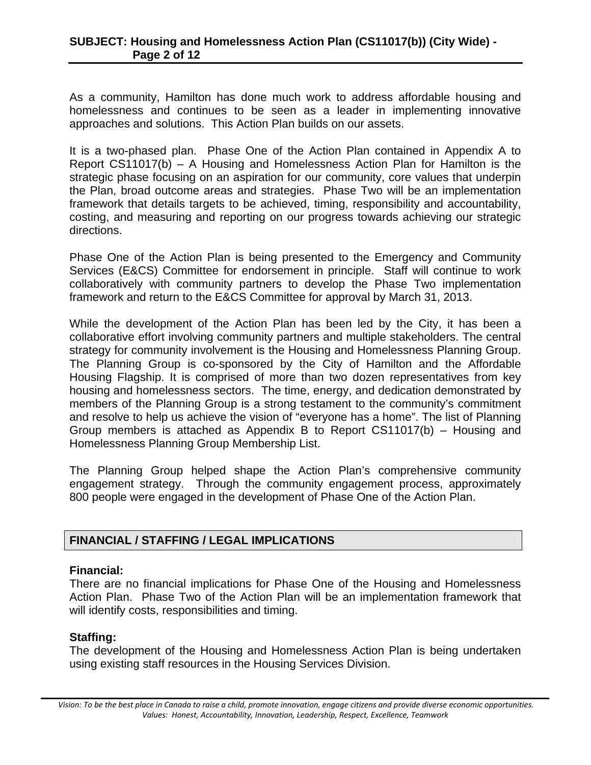As a community, Hamilton has done much work to address affordable housing and homelessness and continues to be seen as a leader in implementing innovative approaches and solutions. This Action Plan builds on our assets.

It is a two-phased plan. Phase One of the Action Plan contained in Appendix A to Report CS11017(b) – A Housing and Homelessness Action Plan for Hamilton is the strategic phase focusing on an aspiration for our community, core values that underpin the Plan, broad outcome areas and strategies. Phase Two will be an implementation framework that details targets to be achieved, timing, responsibility and accountability, costing, and measuring and reporting on our progress towards achieving our strategic directions.

Phase One of the Action Plan is being presented to the Emergency and Community Services (E&CS) Committee for endorsement in principle. Staff will continue to work collaboratively with community partners to develop the Phase Two implementation framework and return to the E&CS Committee for approval by March 31, 2013.

While the development of the Action Plan has been led by the City, it has been a collaborative effort involving community partners and multiple stakeholders. The central strategy for community involvement is the Housing and Homelessness Planning Group. The Planning Group is co-sponsored by the City of Hamilton and the Affordable Housing Flagship. It is comprised of more than two dozen representatives from key housing and homelessness sectors. The time, energy, and dedication demonstrated by members of the Planning Group is a strong testament to the community's commitment and resolve to help us achieve the vision of "everyone has a home". The list of Planning Group members is attached as Appendix B to Report CS11017(b) – Housing and Homelessness Planning Group Membership List.

The Planning Group helped shape the Action Plan's comprehensive community engagement strategy. Through the community engagement process, approximately 800 people were engaged in the development of Phase One of the Action Plan.

#### **FINANCIAL / STAFFING / LEGAL IMPLICATIONS**

#### **Financial:**

There are no financial implications for Phase One of the Housing and Homelessness Action Plan. Phase Two of the Action Plan will be an implementation framework that will identify costs, responsibilities and timing.

#### **Staffing:**

The development of the Housing and Homelessness Action Plan is being undertaken using existing staff resources in the Housing Services Division.

Vision: To be the best place in Canada to raise a child, promote innovation, engage citizens and provide diverse economic opportunities. *Values: Honest, Accountability, Innovation, Leadership, Respect, Excellence, Teamwork*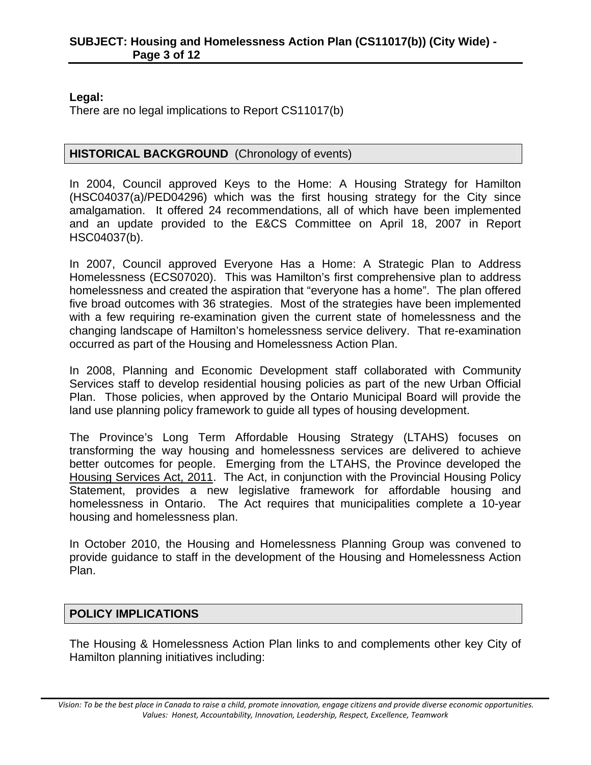#### **Legal:**

There are no legal implications to Report CS11017(b)

#### **HISTORICAL BACKGROUND** (Chronology of events)

In 2004, Council approved Keys to the Home: A Housing Strategy for Hamilton (HSC04037(a)/PED04296) which was the first housing strategy for the City since amalgamation. It offered 24 recommendations, all of which have been implemented and an update provided to the E&CS Committee on April 18, 2007 in Report HSC04037(b).

In 2007, Council approved Everyone Has a Home: A Strategic Plan to Address Homelessness (ECS07020). This was Hamilton's first comprehensive plan to address homelessness and created the aspiration that "everyone has a home". The plan offered five broad outcomes with 36 strategies. Most of the strategies have been implemented with a few requiring re-examination given the current state of homelessness and the changing landscape of Hamilton's homelessness service delivery. That re-examination occurred as part of the Housing and Homelessness Action Plan.

In 2008, Planning and Economic Development staff collaborated with Community Services staff to develop residential housing policies as part of the new Urban Official Plan. Those policies, when approved by the Ontario Municipal Board will provide the land use planning policy framework to guide all types of housing development.

The Province's Long Term Affordable Housing Strategy (LTAHS) focuses on transforming the way housing and homelessness services are delivered to achieve better outcomes for people. Emerging from the LTAHS, the Province developed the Housing Services Act, 2011. The Act, in conjunction with the Provincial Housing Policy Statement, provides a new legislative framework for affordable housing and homelessness in Ontario. The Act requires that municipalities complete a 10-year housing and homelessness plan.

In October 2010, the Housing and Homelessness Planning Group was convened to provide guidance to staff in the development of the Housing and Homelessness Action Plan.

#### **POLICY IMPLICATIONS**

The Housing & Homelessness Action Plan links to and complements other key City of Hamilton planning initiatives including:

Vision: To be the best place in Canada to raise a child, promote innovation, engage citizens and provide diverse economic opportunities. *Values: Honest, Accountability, Innovation, Leadership, Respect, Excellence, Teamwork*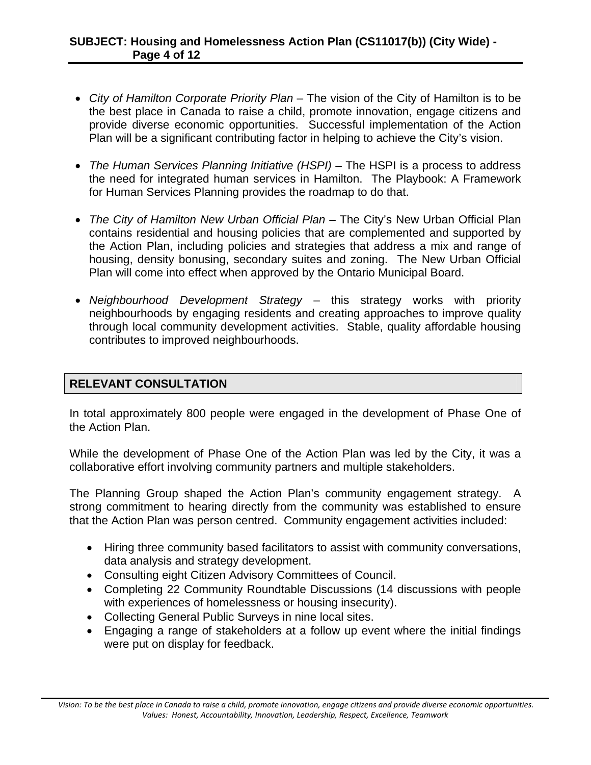#### **SUBJECT: Housing and Homelessness Action Plan (CS11017(b)) (City Wide) - Page 4 of 12**

- *City of Hamilton Corporate Priority Plan* The vision of the City of Hamilton is to be the best place in Canada to raise a child, promote innovation, engage citizens and provide diverse economic opportunities. Successful implementation of the Action Plan will be a significant contributing factor in helping to achieve the City's vision.
- *The Human Services Planning Initiative (HSPI)* The HSPI is a process to address the need for integrated human services in Hamilton. The Playbook: A Framework for Human Services Planning provides the roadmap to do that.
- *The City of Hamilton New Urban Official Plan* The City's New Urban Official Plan contains residential and housing policies that are complemented and supported by the Action Plan, including policies and strategies that address a mix and range of housing, density bonusing, secondary suites and zoning. The New Urban Official Plan will come into effect when approved by the Ontario Municipal Board.
- *Neighbourhood Development Strategy* this strategy works with priority neighbourhoods by engaging residents and creating approaches to improve quality through local community development activities. Stable, quality affordable housing contributes to improved neighbourhoods.

#### **RELEVANT CONSULTATION**

In total approximately 800 people were engaged in the development of Phase One of the Action Plan.

While the development of Phase One of the Action Plan was led by the City, it was a collaborative effort involving community partners and multiple stakeholders.

The Planning Group shaped the Action Plan's community engagement strategy. A strong commitment to hearing directly from the community was established to ensure that the Action Plan was person centred. Community engagement activities included:

- Hiring three community based facilitators to assist with community conversations, data analysis and strategy development.
- Consulting eight Citizen Advisory Committees of Council.
- Completing 22 Community Roundtable Discussions (14 discussions with people with experiences of homelessness or housing insecurity).
- Collecting General Public Surveys in nine local sites.
- Engaging a range of stakeholders at a follow up event where the initial findings were put on display for feedback.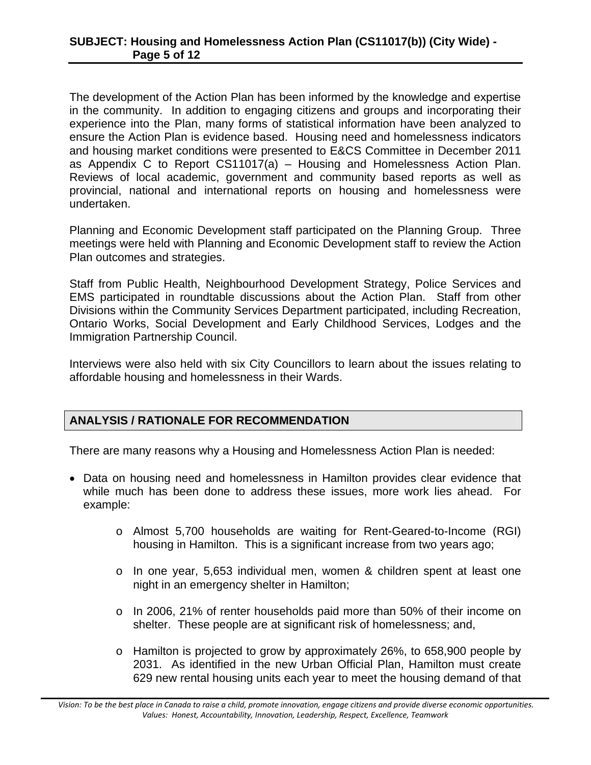The development of the Action Plan has been informed by the knowledge and expertise in the community. In addition to engaging citizens and groups and incorporating their experience into the Plan, many forms of statistical information have been analyzed to ensure the Action Plan is evidence based. Housing need and homelessness indicators and housing market conditions were presented to E&CS Committee in December 2011 as Appendix C to Report CS11017(a) – Housing and Homelessness Action Plan. Reviews of local academic, government and community based reports as well as provincial, national and international reports on housing and homelessness were undertaken.

Planning and Economic Development staff participated on the Planning Group. Three meetings were held with Planning and Economic Development staff to review the Action Plan outcomes and strategies.

Staff from Public Health, Neighbourhood Development Strategy, Police Services and EMS participated in roundtable discussions about the Action Plan. Staff from other Divisions within the Community Services Department participated, including Recreation, Ontario Works, Social Development and Early Childhood Services, Lodges and the Immigration Partnership Council.

Interviews were also held with six City Councillors to learn about the issues relating to affordable housing and homelessness in their Wards.

#### **ANALYSIS / RATIONALE FOR RECOMMENDATION**

There are many reasons why a Housing and Homelessness Action Plan is needed:

- Data on housing need and homelessness in Hamilton provides clear evidence that while much has been done to address these issues, more work lies ahead. For example:
	- o Almost 5,700 households are waiting for Rent-Geared-to-Income (RGI) housing in Hamilton. This is a significant increase from two years ago;
	- o In one year, 5,653 individual men, women & children spent at least one night in an emergency shelter in Hamilton;
	- o In 2006, 21% of renter households paid more than 50% of their income on shelter. These people are at significant risk of homelessness; and,
	- o Hamilton is projected to grow by approximately 26%, to 658,900 people by 2031. As identified in the new Urban Official Plan, Hamilton must create 629 new rental housing units each year to meet the housing demand of that

Vision: To be the best place in Canada to raise a child, promote innovation, engage citizens and provide diverse economic opportunities. *Values: Honest, Accountability, Innovation, Leadership, Respect, Excellence, Teamwork*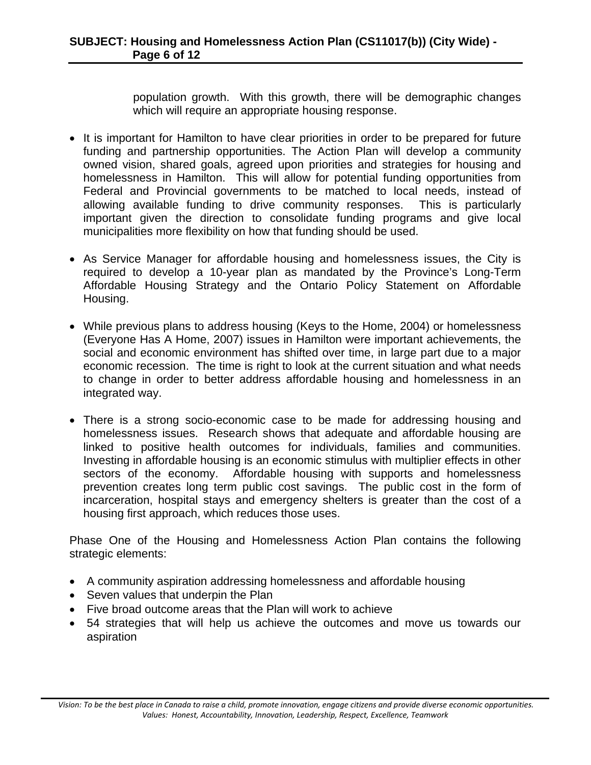population growth. With this growth, there will be demographic changes which will require an appropriate housing response.

- It is important for Hamilton to have clear priorities in order to be prepared for future funding and partnership opportunities. The Action Plan will develop a community owned vision, shared goals, agreed upon priorities and strategies for housing and homelessness in Hamilton. This will allow for potential funding opportunities from Federal and Provincial governments to be matched to local needs, instead of allowing available funding to drive community responses. This is particularly important given the direction to consolidate funding programs and give local municipalities more flexibility on how that funding should be used.
- As Service Manager for affordable housing and homelessness issues, the City is required to develop a 10-year plan as mandated by the Province's Long-Term Affordable Housing Strategy and the Ontario Policy Statement on Affordable Housing.
- While previous plans to address housing (Keys to the Home, 2004) or homelessness (Everyone Has A Home, 2007) issues in Hamilton were important achievements, the social and economic environment has shifted over time, in large part due to a major economic recession. The time is right to look at the current situation and what needs to change in order to better address affordable housing and homelessness in an integrated way.
- There is a strong socio-economic case to be made for addressing housing and homelessness issues. Research shows that adequate and affordable housing are linked to positive health outcomes for individuals, families and communities. Investing in affordable housing is an economic stimulus with multiplier effects in other sectors of the economy. Affordable housing with supports and homelessness prevention creates long term public cost savings. The public cost in the form of incarceration, hospital stays and emergency shelters is greater than the cost of a housing first approach, which reduces those uses.

Phase One of the Housing and Homelessness Action Plan contains the following strategic elements:

- A community aspiration addressing homelessness and affordable housing
- Seven values that underpin the Plan
- Five broad outcome areas that the Plan will work to achieve
- 54 strategies that will help us achieve the outcomes and move us towards our aspiration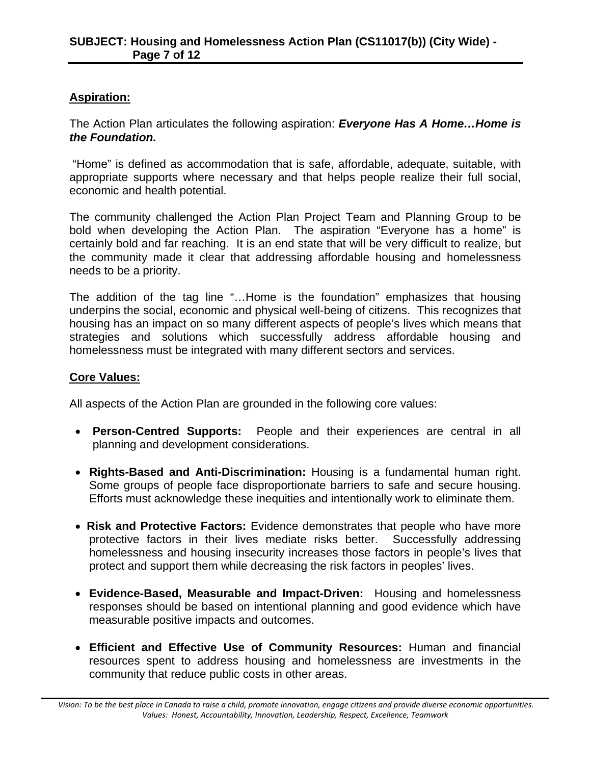#### **Aspiration:**

The Action Plan articulates the following aspiration: *Everyone Has A Home…Home is the Foundation.* 

 "Home" is defined as accommodation that is safe, affordable, adequate, suitable, with appropriate supports where necessary and that helps people realize their full social, economic and health potential.

The community challenged the Action Plan Project Team and Planning Group to be bold when developing the Action Plan. The aspiration "Everyone has a home" is certainly bold and far reaching. It is an end state that will be very difficult to realize, but the community made it clear that addressing affordable housing and homelessness needs to be a priority.

The addition of the tag line "…Home is the foundation" emphasizes that housing underpins the social, economic and physical well-being of citizens. This recognizes that housing has an impact on so many different aspects of people's lives which means that strategies and solutions which successfully address affordable housing and homelessness must be integrated with many different sectors and services.

#### **Core Values:**

All aspects of the Action Plan are grounded in the following core values:

- **Person-Centred Supports:** People and their experiences are central in all planning and development considerations.
- **Rights-Based and Anti-Discrimination:** Housing is a fundamental human right. Some groups of people face disproportionate barriers to safe and secure housing. Efforts must acknowledge these inequities and intentionally work to eliminate them.
- **Risk and Protective Factors:** Evidence demonstrates that people who have more protective factors in their lives mediate risks better. Successfully addressing homelessness and housing insecurity increases those factors in people's lives that protect and support them while decreasing the risk factors in peoples' lives.
- **Evidence-Based, Measurable and Impact-Driven:** Housing and homelessness responses should be based on intentional planning and good evidence which have measurable positive impacts and outcomes.
- **Efficient and Effective Use of Community Resources:** Human and financial resources spent to address housing and homelessness are investments in the community that reduce public costs in other areas.

Vision: To be the best place in Canada to raise a child, promote innovation, engage citizens and provide diverse economic opportunities. *Values: Honest, Accountability, Innovation, Leadership, Respect, Excellence, Teamwork*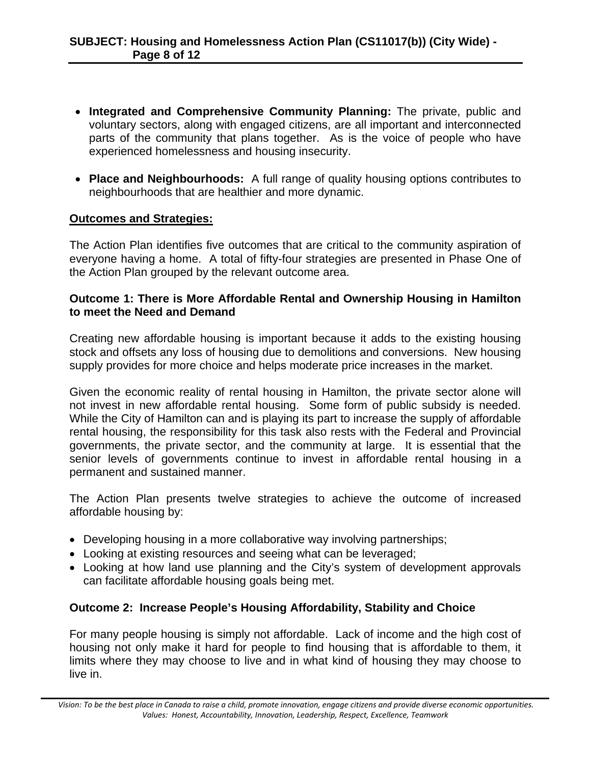- **Integrated and Comprehensive Community Planning:** The private, public and voluntary sectors, along with engaged citizens, are all important and interconnected parts of the community that plans together. As is the voice of people who have experienced homelessness and housing insecurity.
- **Place and Neighbourhoods:** A full range of quality housing options contributes to neighbourhoods that are healthier and more dynamic.

#### **Outcomes and Strategies:**

The Action Plan identifies five outcomes that are critical to the community aspiration of everyone having a home. A total of fifty-four strategies are presented in Phase One of the Action Plan grouped by the relevant outcome area.

#### **Outcome 1: There is More Affordable Rental and Ownership Housing in Hamilton to meet the Need and Demand**

Creating new affordable housing is important because it adds to the existing housing stock and offsets any loss of housing due to demolitions and conversions. New housing supply provides for more choice and helps moderate price increases in the market.

Given the economic reality of rental housing in Hamilton, the private sector alone will not invest in new affordable rental housing. Some form of public subsidy is needed. While the City of Hamilton can and is playing its part to increase the supply of affordable rental housing, the responsibility for this task also rests with the Federal and Provincial governments, the private sector, and the community at large. It is essential that the senior levels of governments continue to invest in affordable rental housing in a permanent and sustained manner.

The Action Plan presents twelve strategies to achieve the outcome of increased affordable housing by:

- Developing housing in a more collaborative way involving partnerships;
- Looking at existing resources and seeing what can be leveraged;
- Looking at how land use planning and the City's system of development approvals can facilitate affordable housing goals being met.

#### **Outcome 2: Increase People's Housing Affordability, Stability and Choice**

For many people housing is simply not affordable. Lack of income and the high cost of housing not only make it hard for people to find housing that is affordable to them, it limits where they may choose to live and in what kind of housing they may choose to live in.

Vision: To be the best place in Canada to raise a child, promote innovation, engage citizens and provide diverse economic opportunities. *Values: Honest, Accountability, Innovation, Leadership, Respect, Excellence, Teamwork*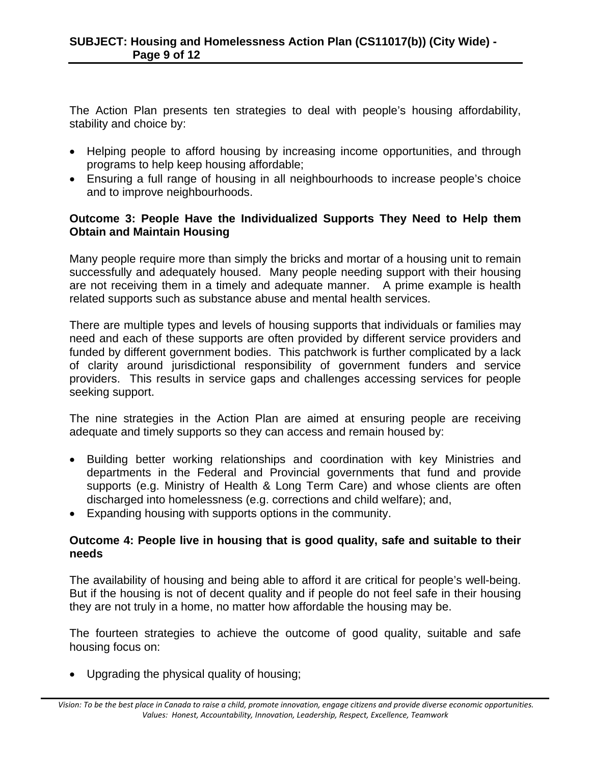The Action Plan presents ten strategies to deal with people's housing affordability, stability and choice by:

- Helping people to afford housing by increasing income opportunities, and through programs to help keep housing affordable;
- Ensuring a full range of housing in all neighbourhoods to increase people's choice and to improve neighbourhoods.

#### **Outcome 3: People Have the Individualized Supports They Need to Help them Obtain and Maintain Housing**

Many people require more than simply the bricks and mortar of a housing unit to remain successfully and adequately housed. Many people needing support with their housing are not receiving them in a timely and adequate manner. A prime example is health related supports such as substance abuse and mental health services.

There are multiple types and levels of housing supports that individuals or families may need and each of these supports are often provided by different service providers and funded by different government bodies. This patchwork is further complicated by a lack of clarity around jurisdictional responsibility of government funders and service providers. This results in service gaps and challenges accessing services for people seeking support.

The nine strategies in the Action Plan are aimed at ensuring people are receiving adequate and timely supports so they can access and remain housed by:

- Building better working relationships and coordination with key Ministries and departments in the Federal and Provincial governments that fund and provide supports (e.g. Ministry of Health & Long Term Care) and whose clients are often discharged into homelessness (e.g. corrections and child welfare); and,
- Expanding housing with supports options in the community.

#### **Outcome 4: People live in housing that is good quality, safe and suitable to their needs**

The availability of housing and being able to afford it are critical for people's well-being. But if the housing is not of decent quality and if people do not feel safe in their housing they are not truly in a home, no matter how affordable the housing may be.

The fourteen strategies to achieve the outcome of good quality, suitable and safe housing focus on:

• Upgrading the physical quality of housing;

Vision: To be the best place in Canada to raise a child, promote innovation, engage citizens and provide diverse economic opportunities. *Values: Honest, Accountability, Innovation, Leadership, Respect, Excellence, Teamwork*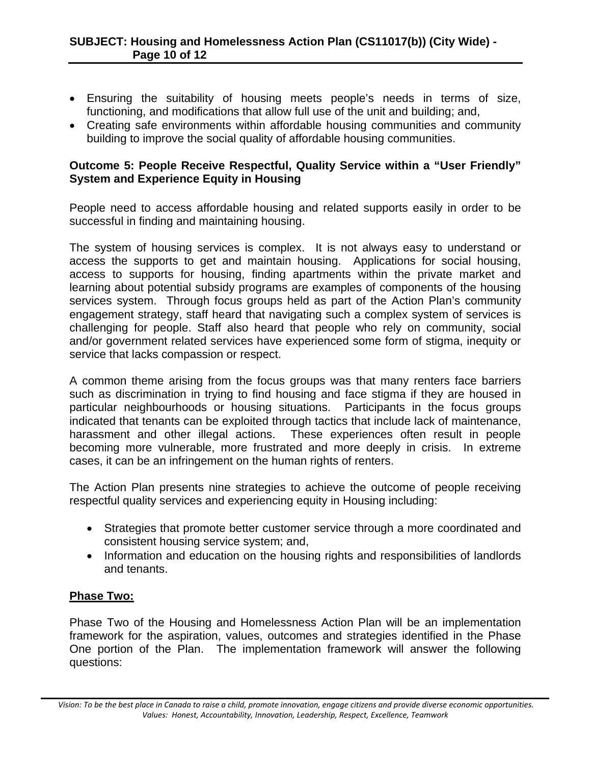- Ensuring the suitability of housing meets people's needs in terms of size, functioning, and modifications that allow full use of the unit and building; and,
- Creating safe environments within affordable housing communities and community building to improve the social quality of affordable housing communities.

#### **Outcome 5: People Receive Respectful, Quality Service within a "User Friendly" System and Experience Equity in Housing**

People need to access affordable housing and related supports easily in order to be successful in finding and maintaining housing.

The system of housing services is complex. It is not always easy to understand or access the supports to get and maintain housing. Applications for social housing, access to supports for housing, finding apartments within the private market and learning about potential subsidy programs are examples of components of the housing services system. Through focus groups held as part of the Action Plan's community engagement strategy, staff heard that navigating such a complex system of services is challenging for people. Staff also heard that people who rely on community, social and/or government related services have experienced some form of stigma, inequity or service that lacks compassion or respect.

A common theme arising from the focus groups was that many renters face barriers such as discrimination in trying to find housing and face stigma if they are housed in particular neighbourhoods or housing situations. Participants in the focus groups indicated that tenants can be exploited through tactics that include lack of maintenance, harassment and other illegal actions. These experiences often result in people becoming more vulnerable, more frustrated and more deeply in crisis. In extreme cases, it can be an infringement on the human rights of renters.

The Action Plan presents nine strategies to achieve the outcome of people receiving respectful quality services and experiencing equity in Housing including:

- Strategies that promote better customer service through a more coordinated and consistent housing service system; and,
- Information and education on the housing rights and responsibilities of landlords and tenants.

#### **Phase Two:**

Phase Two of the Housing and Homelessness Action Plan will be an implementation framework for the aspiration, values, outcomes and strategies identified in the Phase One portion of the Plan. The implementation framework will answer the following questions:

Vision: To be the best place in Canada to raise a child, promote innovation, engage citizens and provide diverse economic opportunities. *Values: Honest, Accountability, Innovation, Leadership, Respect, Excellence, Teamwork*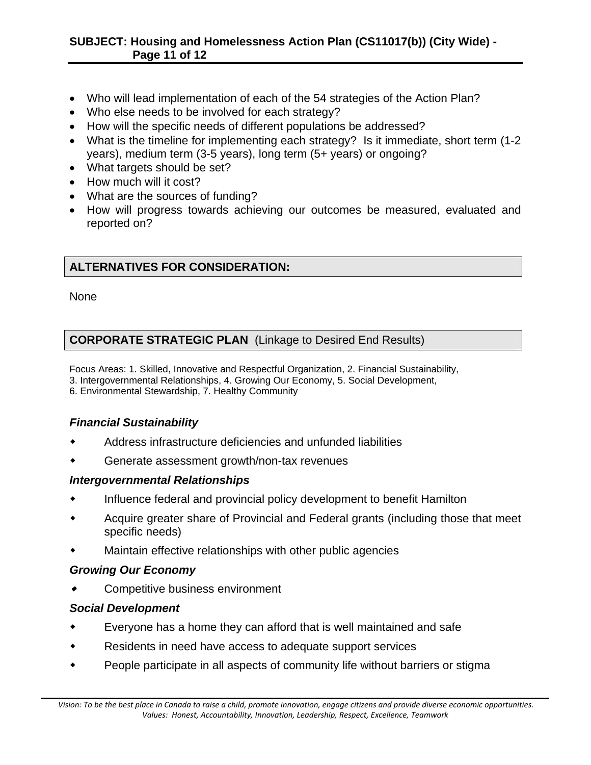- Who will lead implementation of each of the 54 strategies of the Action Plan?
- Who else needs to be involved for each strategy?
- How will the specific needs of different populations be addressed?
- What is the timeline for implementing each strategy? Is it immediate, short term (1-2 years), medium term (3-5 years), long term (5+ years) or ongoing?
- What targets should be set?
- How much will it cost?
- What are the sources of funding?
- How will progress towards achieving our outcomes be measured, evaluated and reported on?

# **ALTERNATIVES FOR CONSIDERATION:**

None

### **CORPORATE STRATEGIC PLAN** (Linkage to Desired End Results)

Focus Areas: 1. Skilled, Innovative and Respectful Organization, 2. Financial Sustainability, 3. Intergovernmental Relationships, 4. Growing Our Economy, 5. Social Development, 6. Environmental Stewardship, 7. Healthy Community

### *Financial Sustainability*

- Address infrastructure deficiencies and unfunded liabilities
- Generate assessment growth/non-tax revenues

#### *Intergovernmental Relationships*

- Influence federal and provincial policy development to benefit Hamilton
- Acquire greater share of Provincial and Federal grants (including those that meet specific needs)
- Maintain effective relationships with other public agencies

#### *Growing Our Economy*

Competitive business environment

#### *Social Development*

- Everyone has a home they can afford that is well maintained and safe
- Residents in need have access to adequate support services
- People participate in all aspects of community life without barriers or stigma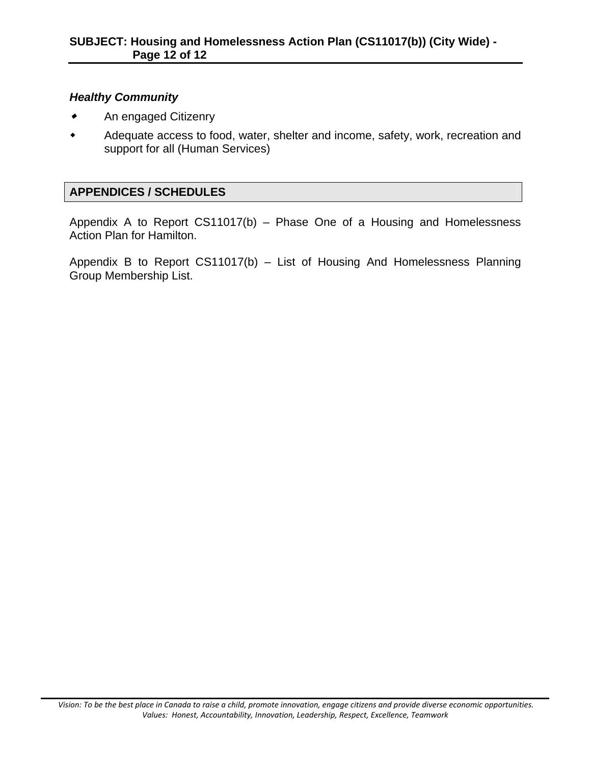#### *Healthy Community*

- An engaged Citizenry
- Adequate access to food, water, shelter and income, safety, work, recreation and support for all (Human Services)

#### **APPENDICES / SCHEDULES**

Appendix A to Report CS11017(b) – Phase One of a Housing and Homelessness Action Plan for Hamilton.

Appendix B to Report CS11017(b) – List of Housing And Homelessness Planning Group Membership List.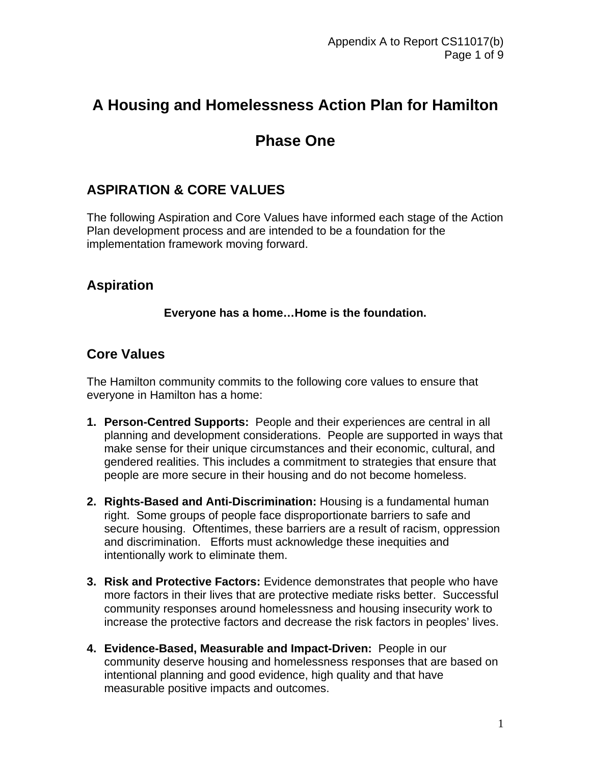# **A Housing and Homelessness Action Plan for Hamilton**

# **Phase One**

# **ASPIRATION & CORE VALUES**

The following Aspiration and Core Values have informed each stage of the Action Plan development process and are intended to be a foundation for the implementation framework moving forward.

# **Aspiration**

#### **Everyone has a home…Home is the foundation.**

# **Core Values**

The Hamilton community commits to the following core values to ensure that everyone in Hamilton has a home:

- **1. Person-Centred Supports:** People and their experiences are central in all planning and development considerations. People are supported in ways that make sense for their unique circumstances and their economic, cultural, and gendered realities. This includes a commitment to strategies that ensure that people are more secure in their housing and do not become homeless.
- **2. Rights-Based and Anti-Discrimination:** Housing is a fundamental human right. Some groups of people face disproportionate barriers to safe and secure housing. Oftentimes, these barriers are a result of racism, oppression and discrimination. Efforts must acknowledge these inequities and intentionally work to eliminate them.
- **3. Risk and Protective Factors:** Evidence demonstrates that people who have more factors in their lives that are protective mediate risks better. Successful community responses around homelessness and housing insecurity work to increase the protective factors and decrease the risk factors in peoples' lives.
- **4. Evidence-Based, Measurable and Impact-Driven:** People in our community deserve housing and homelessness responses that are based on intentional planning and good evidence, high quality and that have measurable positive impacts and outcomes.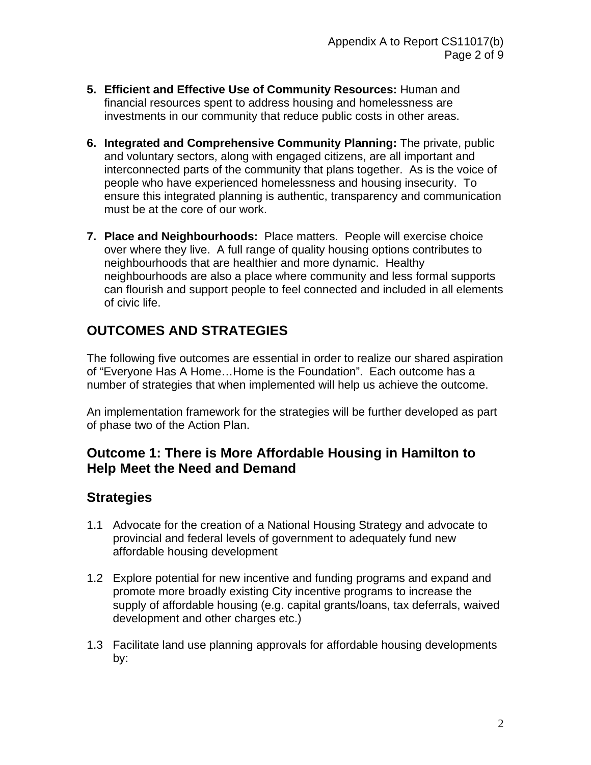- **5. Efficient and Effective Use of Community Resources:** Human and financial resources spent to address housing and homelessness are investments in our community that reduce public costs in other areas.
- **6. Integrated and Comprehensive Community Planning:** The private, public and voluntary sectors, along with engaged citizens, are all important and interconnected parts of the community that plans together. As is the voice of people who have experienced homelessness and housing insecurity. To ensure this integrated planning is authentic, transparency and communication must be at the core of our work.
- **7. Place and Neighbourhoods:** Place matters. People will exercise choice over where they live. A full range of quality housing options contributes to neighbourhoods that are healthier and more dynamic. Healthy neighbourhoods are also a place where community and less formal supports can flourish and support people to feel connected and included in all elements of civic life.

# **OUTCOMES AND STRATEGIES**

The following five outcomes are essential in order to realize our shared aspiration of "Everyone Has A Home…Home is the Foundation". Each outcome has a number of strategies that when implemented will help us achieve the outcome.

An implementation framework for the strategies will be further developed as part of phase two of the Action Plan.

# **Outcome 1: There is More Affordable Housing in Hamilton to Help Meet the Need and Demand**

- 1.1 Advocate for the creation of a National Housing Strategy and advocate to provincial and federal levels of government to adequately fund new affordable housing development
- 1.2 Explore potential for new incentive and funding programs and expand and promote more broadly existing City incentive programs to increase the supply of affordable housing (e.g. capital grants/loans, tax deferrals, waived development and other charges etc.)
- 1.3 Facilitate land use planning approvals for affordable housing developments by: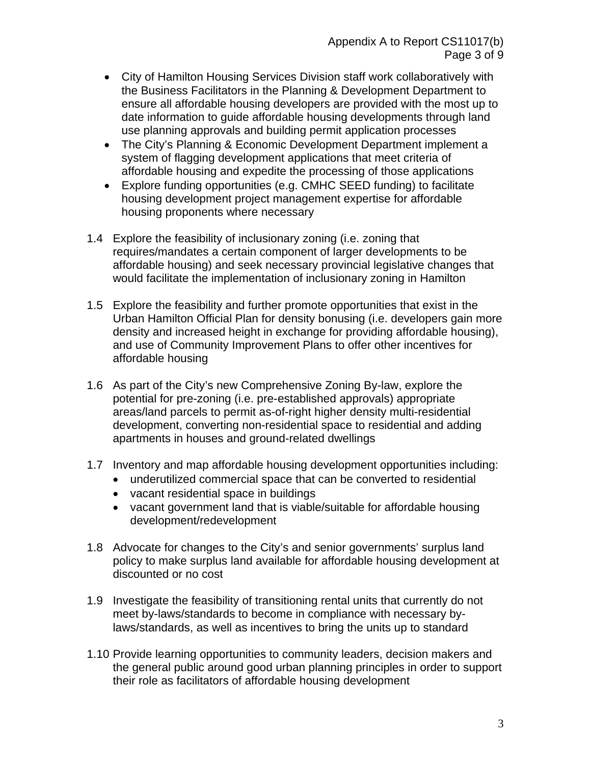- City of Hamilton Housing Services Division staff work collaboratively with the Business Facilitators in the Planning & Development Department to ensure all affordable housing developers are provided with the most up to date information to guide affordable housing developments through land use planning approvals and building permit application processes
- The City's Planning & Economic Development Department implement a system of flagging development applications that meet criteria of affordable housing and expedite the processing of those applications
- Explore funding opportunities (e.g. CMHC SEED funding) to facilitate housing development project management expertise for affordable housing proponents where necessary
- 1.4 Explore the feasibility of inclusionary zoning (i.e. zoning that requires/mandates a certain component of larger developments to be affordable housing) and seek necessary provincial legislative changes that would facilitate the implementation of inclusionary zoning in Hamilton
- 1.5 Explore the feasibility and further promote opportunities that exist in the Urban Hamilton Official Plan for density bonusing (i.e. developers gain more density and increased height in exchange for providing affordable housing), and use of Community Improvement Plans to offer other incentives for affordable housing
- 1.6 As part of the City's new Comprehensive Zoning By-law, explore the potential for pre-zoning (i.e. pre-established approvals) appropriate areas/land parcels to permit as-of-right higher density multi-residential development, converting non-residential space to residential and adding apartments in houses and ground-related dwellings
- 1.7 Inventory and map affordable housing development opportunities including:
	- underutilized commercial space that can be converted to residential
	- vacant residential space in buildings
	- vacant government land that is viable/suitable for affordable housing development/redevelopment
- 1.8 Advocate for changes to the City's and senior governments' surplus land policy to make surplus land available for affordable housing development at discounted or no cost
- 1.9 Investigate the feasibility of transitioning rental units that currently do not meet by-laws/standards to become in compliance with necessary bylaws/standards, as well as incentives to bring the units up to standard
- 1.10 Provide learning opportunities to community leaders, decision makers and the general public around good urban planning principles in order to support their role as facilitators of affordable housing development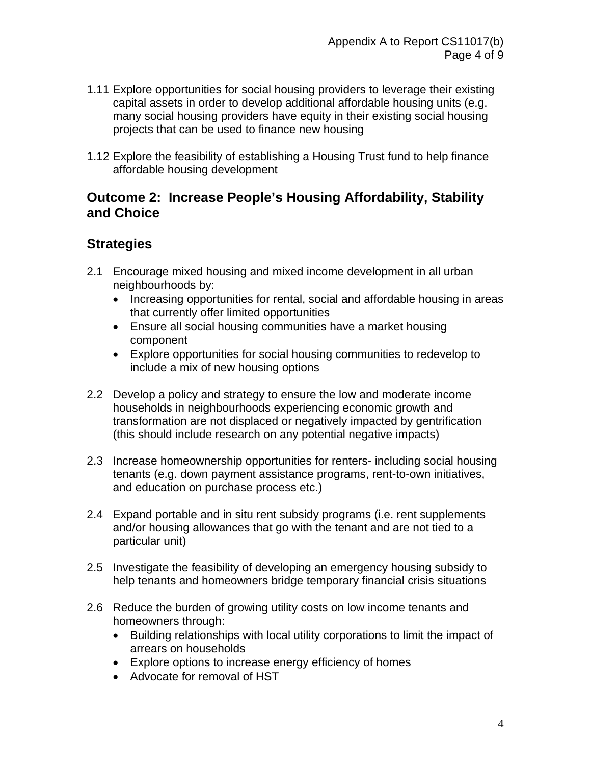- 1.11 Explore opportunities for social housing providers to leverage their existing capital assets in order to develop additional affordable housing units (e.g. many social housing providers have equity in their existing social housing projects that can be used to finance new housing
- 1.12 Explore the feasibility of establishing a Housing Trust fund to help finance affordable housing development

### **Outcome 2: Increase People's Housing Affordability, Stability and Choice**

- 2.1 Encourage mixed housing and mixed income development in all urban neighbourhoods by:
	- Increasing opportunities for rental, social and affordable housing in areas that currently offer limited opportunities
	- Ensure all social housing communities have a market housing component
	- Explore opportunities for social housing communities to redevelop to include a mix of new housing options
- 2.2 Develop a policy and strategy to ensure the low and moderate income households in neighbourhoods experiencing economic growth and transformation are not displaced or negatively impacted by gentrification (this should include research on any potential negative impacts)
- 2.3 Increase homeownership opportunities for renters- including social housing tenants (e.g. down payment assistance programs, rent-to-own initiatives, and education on purchase process etc.)
- 2.4 Expand portable and in situ rent subsidy programs (i.e. rent supplements and/or housing allowances that go with the tenant and are not tied to a particular unit)
- 2.5 Investigate the feasibility of developing an emergency housing subsidy to help tenants and homeowners bridge temporary financial crisis situations
- 2.6 Reduce the burden of growing utility costs on low income tenants and homeowners through:
	- Building relationships with local utility corporations to limit the impact of arrears on households
	- Explore options to increase energy efficiency of homes
	- Advocate for removal of HST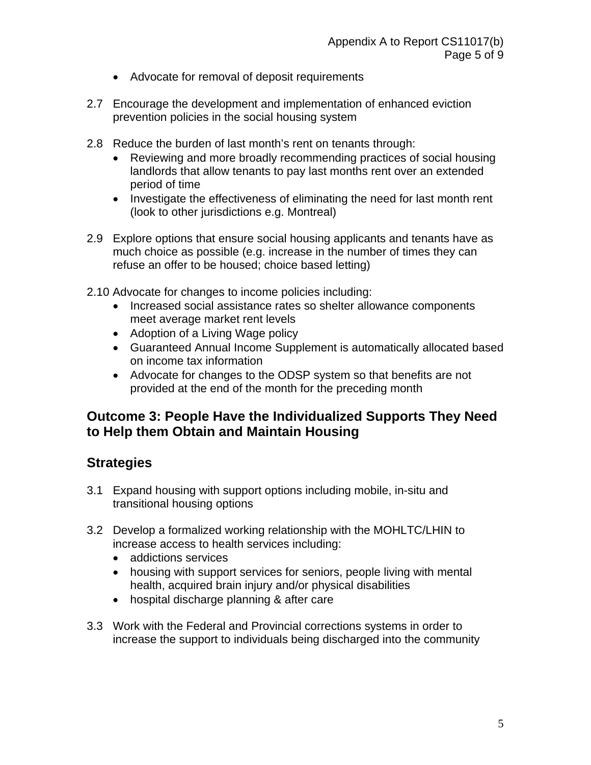- Advocate for removal of deposit requirements
- 2.7 Encourage the development and implementation of enhanced eviction prevention policies in the social housing system
- 2.8 Reduce the burden of last month's rent on tenants through:
	- Reviewing and more broadly recommending practices of social housing landlords that allow tenants to pay last months rent over an extended period of time
	- Investigate the effectiveness of eliminating the need for last month rent (look to other jurisdictions e.g. Montreal)
- 2.9 Explore options that ensure social housing applicants and tenants have as much choice as possible (e.g. increase in the number of times they can refuse an offer to be housed; choice based letting)
- 2.10 Advocate for changes to income policies including:
	- Increased social assistance rates so shelter allowance components meet average market rent levels
	- Adoption of a Living Wage policy
	- Guaranteed Annual Income Supplement is automatically allocated based on income tax information
	- Advocate for changes to the ODSP system so that benefits are not provided at the end of the month for the preceding month

### **Outcome 3: People Have the Individualized Supports They Need to Help them Obtain and Maintain Housing**

- 3.1 Expand housing with support options including mobile, in-situ and transitional housing options
- 3.2 Develop a formalized working relationship with the MOHLTC/LHIN to increase access to health services including:
	- addictions services
	- housing with support services for seniors, people living with mental health, acquired brain injury and/or physical disabilities
	- hospital discharge planning & after care
- 3.3 Work with the Federal and Provincial corrections systems in order to increase the support to individuals being discharged into the community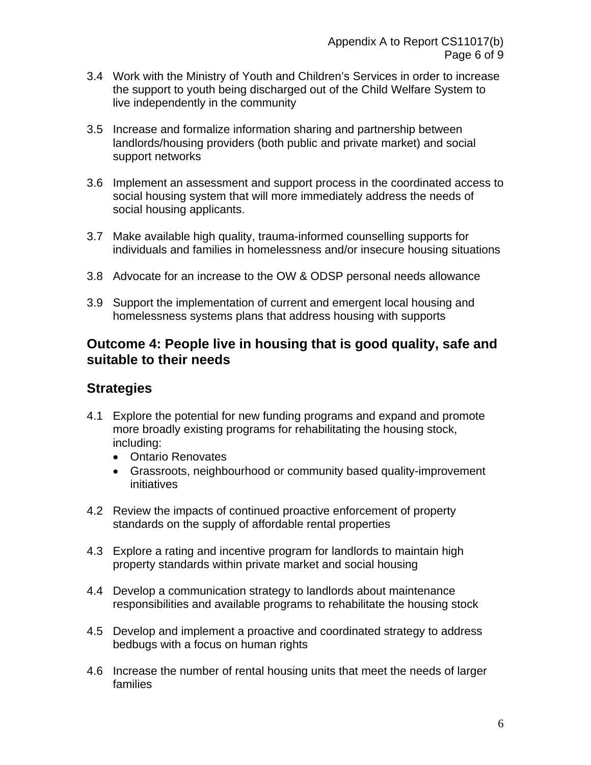- 3.4 Work with the Ministry of Youth and Children's Services in order to increase the support to youth being discharged out of the Child Welfare System to live independently in the community
- 3.5 Increase and formalize information sharing and partnership between landlords/housing providers (both public and private market) and social support networks
- 3.6 Implement an assessment and support process in the coordinated access to social housing system that will more immediately address the needs of social housing applicants.
- 3.7 Make available high quality, trauma-informed counselling supports for individuals and families in homelessness and/or insecure housing situations
- 3.8 Advocate for an increase to the OW & ODSP personal needs allowance
- 3.9 Support the implementation of current and emergent local housing and homelessness systems plans that address housing with supports

### **Outcome 4: People live in housing that is good quality, safe and suitable to their needs**

- 4.1 Explore the potential for new funding programs and expand and promote more broadly existing programs for rehabilitating the housing stock, including:
	- Ontario Renovates
	- Grassroots, neighbourhood or community based quality-improvement initiatives
- 4.2 Review the impacts of continued proactive enforcement of property standards on the supply of affordable rental properties
- 4.3 Explore a rating and incentive program for landlords to maintain high property standards within private market and social housing
- 4.4 Develop a communication strategy to landlords about maintenance responsibilities and available programs to rehabilitate the housing stock
- 4.5 Develop and implement a proactive and coordinated strategy to address bedbugs with a focus on human rights
- 4.6 Increase the number of rental housing units that meet the needs of larger families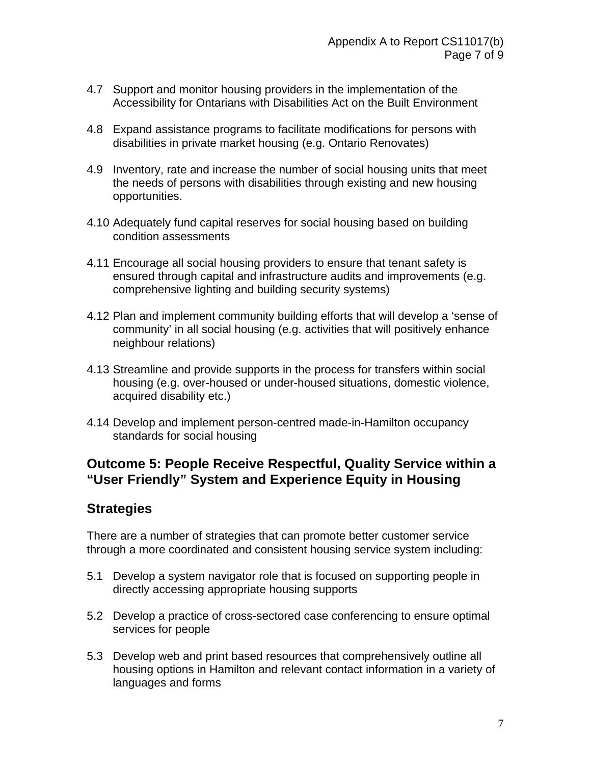- 4.7 Support and monitor housing providers in the implementation of the Accessibility for Ontarians with Disabilities Act on the Built Environment
- 4.8 Expand assistance programs to facilitate modifications for persons with disabilities in private market housing (e.g. Ontario Renovates)
- 4.9 Inventory, rate and increase the number of social housing units that meet the needs of persons with disabilities through existing and new housing opportunities.
- 4.10 Adequately fund capital reserves for social housing based on building condition assessments
- 4.11 Encourage all social housing providers to ensure that tenant safety is ensured through capital and infrastructure audits and improvements (e.g. comprehensive lighting and building security systems)
- 4.12 Plan and implement community building efforts that will develop a 'sense of community' in all social housing (e.g. activities that will positively enhance neighbour relations)
- 4.13 Streamline and provide supports in the process for transfers within social housing (e.g. over-housed or under-housed situations, domestic violence, acquired disability etc.)
- 4.14 Develop and implement person-centred made-in-Hamilton occupancy standards for social housing

### **Outcome 5: People Receive Respectful, Quality Service within a "User Friendly" System and Experience Equity in Housing**

# **Strategies**

There are a number of strategies that can promote better customer service through a more coordinated and consistent housing service system including:

- 5.1 Develop a system navigator role that is focused on supporting people in directly accessing appropriate housing supports
- 5.2 Develop a practice of cross-sectored case conferencing to ensure optimal services for people
- 5.3 Develop web and print based resources that comprehensively outline all housing options in Hamilton and relevant contact information in a variety of languages and forms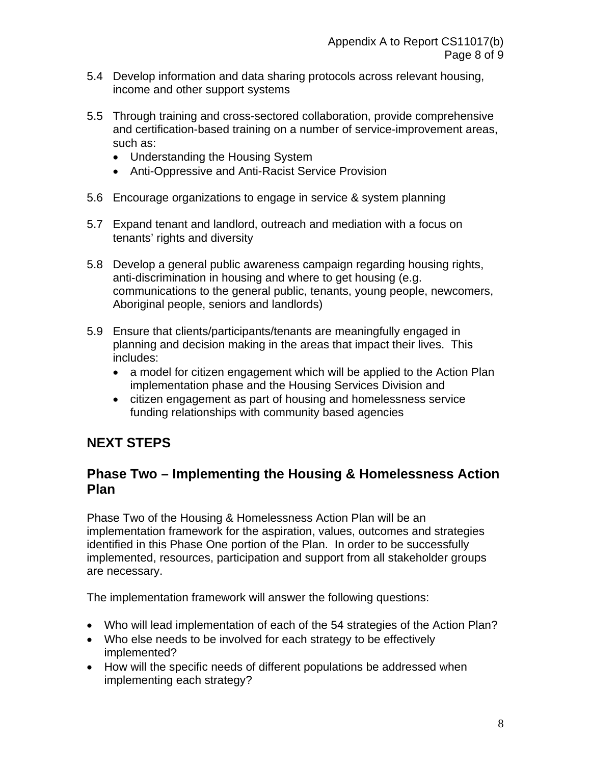- 5.4 Develop information and data sharing protocols across relevant housing, income and other support systems
- 5.5 Through training and cross-sectored collaboration, provide comprehensive and certification-based training on a number of service-improvement areas, such as:
	- Understanding the Housing System
	- Anti-Oppressive and Anti-Racist Service Provision
- 5.6 Encourage organizations to engage in service & system planning
- 5.7 Expand tenant and landlord, outreach and mediation with a focus on tenants' rights and diversity
- 5.8 Develop a general public awareness campaign regarding housing rights, anti-discrimination in housing and where to get housing (e.g. communications to the general public, tenants, young people, newcomers, Aboriginal people, seniors and landlords)
- 5.9 Ensure that clients/participants/tenants are meaningfully engaged in planning and decision making in the areas that impact their lives. This includes:
	- a model for citizen engagement which will be applied to the Action Plan implementation phase and the Housing Services Division and
	- citizen engagement as part of housing and homelessness service funding relationships with community based agencies

# **NEXT STEPS**

# **Phase Two – Implementing the Housing & Homelessness Action Plan**

Phase Two of the Housing & Homelessness Action Plan will be an implementation framework for the aspiration, values, outcomes and strategies identified in this Phase One portion of the Plan. In order to be successfully implemented, resources, participation and support from all stakeholder groups are necessary.

The implementation framework will answer the following questions:

- Who will lead implementation of each of the 54 strategies of the Action Plan?
- Who else needs to be involved for each strategy to be effectively implemented?
- How will the specific needs of different populations be addressed when implementing each strategy?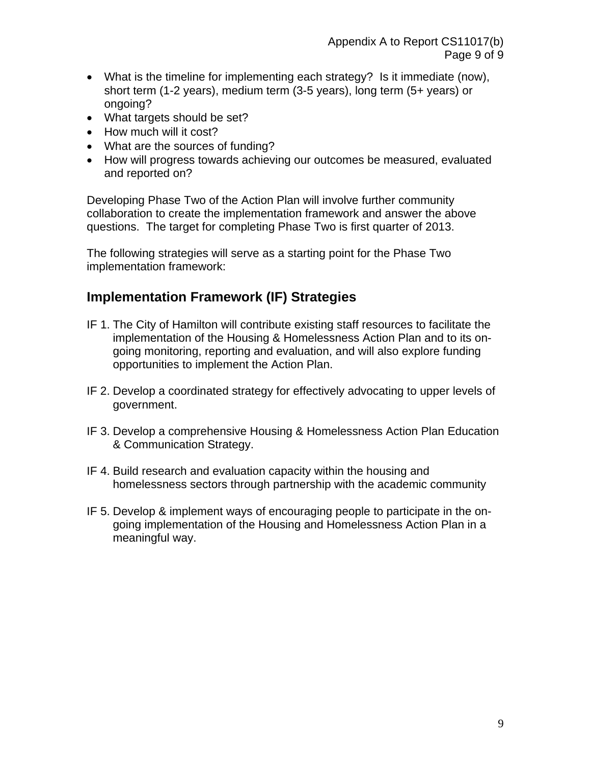- What is the timeline for implementing each strategy? Is it immediate (now), short term (1-2 years), medium term (3-5 years), long term (5+ years) or ongoing?
- What targets should be set?
- How much will it cost?
- What are the sources of funding?
- How will progress towards achieving our outcomes be measured, evaluated and reported on?

Developing Phase Two of the Action Plan will involve further community collaboration to create the implementation framework and answer the above questions. The target for completing Phase Two is first quarter of 2013.

The following strategies will serve as a starting point for the Phase Two implementation framework:

# **Implementation Framework (IF) Strategies**

- IF 1. The City of Hamilton will contribute existing staff resources to facilitate the implementation of the Housing & Homelessness Action Plan and to its ongoing monitoring, reporting and evaluation, and will also explore funding opportunities to implement the Action Plan.
- IF 2. Develop a coordinated strategy for effectively advocating to upper levels of government.
- IF 3. Develop a comprehensive Housing & Homelessness Action Plan Education & Communication Strategy.
- IF 4. Build research and evaluation capacity within the housing and homelessness sectors through partnership with the academic community
- IF 5. Develop & implement ways of encouraging people to participate in the ongoing implementation of the Housing and Homelessness Action Plan in a meaningful way.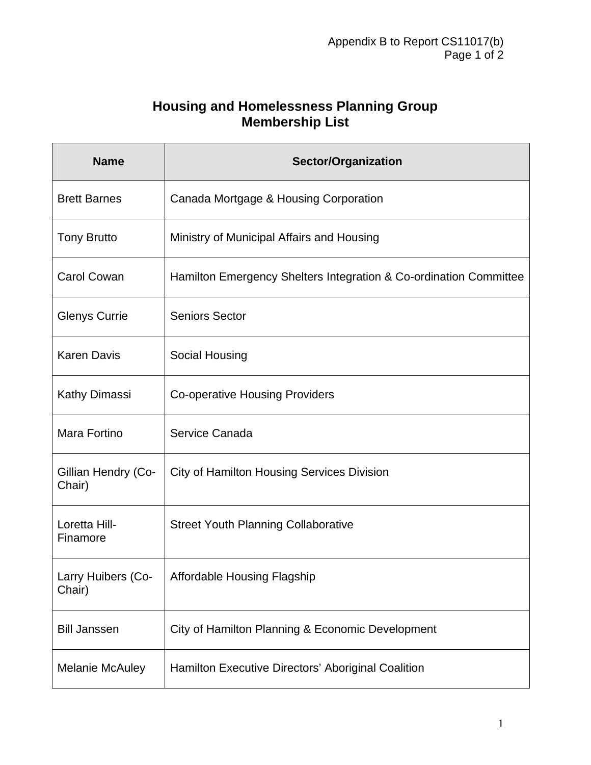# **Housing and Homelessness Planning Group Membership List**

| <b>Name</b>                   | <b>Sector/Organization</b>                                        |
|-------------------------------|-------------------------------------------------------------------|
| <b>Brett Barnes</b>           | Canada Mortgage & Housing Corporation                             |
| <b>Tony Brutto</b>            | Ministry of Municipal Affairs and Housing                         |
| <b>Carol Cowan</b>            | Hamilton Emergency Shelters Integration & Co-ordination Committee |
| <b>Glenys Currie</b>          | <b>Seniors Sector</b>                                             |
| <b>Karen Davis</b>            | Social Housing                                                    |
| <b>Kathy Dimassi</b>          | <b>Co-operative Housing Providers</b>                             |
| Mara Fortino                  | Service Canada                                                    |
| Gillian Hendry (Co-<br>Chair) | <b>City of Hamilton Housing Services Division</b>                 |
| Loretta Hill-<br>Finamore     | <b>Street Youth Planning Collaborative</b>                        |
| Larry Huibers (Co-<br>Chair)  | <b>Affordable Housing Flagship</b>                                |
| <b>Bill Janssen</b>           | City of Hamilton Planning & Economic Development                  |
| <b>Melanie McAuley</b>        | Hamilton Executive Directors' Aboriginal Coalition                |